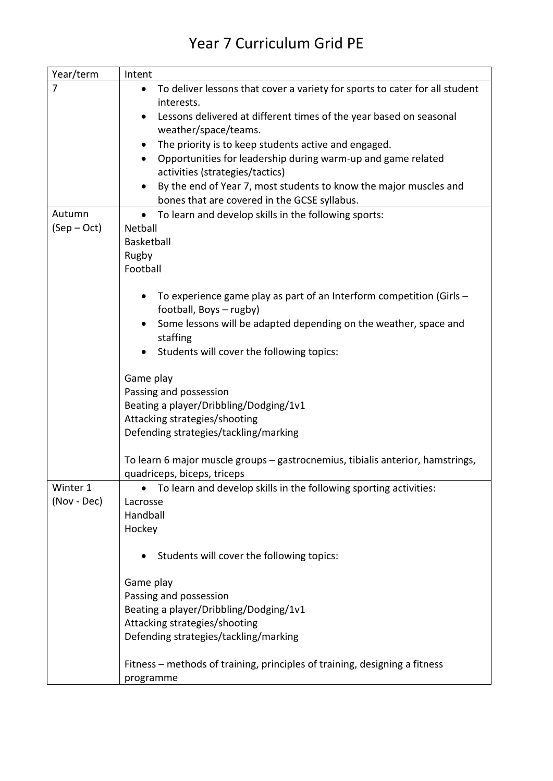## Year 7 Curriculum Grid PE

| Year/term   | Intent                                                                                   |
|-------------|------------------------------------------------------------------------------------------|
| 7           | To deliver lessons that cover a variety for sports to cater for all student<br>$\bullet$ |
|             | interests.                                                                               |
|             | Lessons delivered at different times of the year based on seasonal<br>$\bullet$          |
|             | weather/space/teams.                                                                     |
|             | The priority is to keep students active and engaged.<br>$\bullet$                        |
|             | Opportunities for leadership during warm-up and game related<br>$\bullet$                |
|             | activities (strategies/tactics)                                                          |
|             | By the end of Year 7, most students to know the major muscles and                        |
|             | bones that are covered in the GCSE syllabus.                                             |
| Autumn      | To learn and develop skills in the following sports:<br>$\bullet$                        |
| $(Sep-Oct)$ | Netball                                                                                  |
|             | Basketball                                                                               |
|             | Rugby                                                                                    |
|             | Football                                                                                 |
|             |                                                                                          |
|             | To experience game play as part of an Interform competition (Girls -                     |
|             | football, Boys - rugby)                                                                  |
|             | Some lessons will be adapted depending on the weather, space and                         |
|             | staffing                                                                                 |
|             | Students will cover the following topics:                                                |
|             |                                                                                          |
|             | Game play                                                                                |
|             | Passing and possession                                                                   |
|             | Beating a player/Dribbling/Dodging/1v1                                                   |
|             | Attacking strategies/shooting                                                            |
|             | Defending strategies/tackling/marking                                                    |
|             | To learn 6 major muscle groups - gastrocnemius, tibialis anterior, hamstrings,           |
|             | quadriceps, biceps, triceps                                                              |
| Winter 1    | To learn and develop skills in the following sporting activities:                        |
| (Nov - Dec) | Lacrosse                                                                                 |
|             | Handball                                                                                 |
|             | Hockey                                                                                   |
|             |                                                                                          |
|             | Students will cover the following topics:                                                |
|             |                                                                                          |
|             | Game play                                                                                |
|             | Passing and possession                                                                   |
|             | Beating a player/Dribbling/Dodging/1v1                                                   |
|             | Attacking strategies/shooting                                                            |
|             | Defending strategies/tackling/marking                                                    |
|             |                                                                                          |
|             | Fitness – methods of training, principles of training, designing a fitness               |
|             | programme                                                                                |